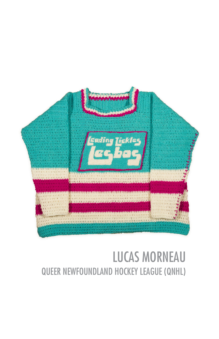

# LUCAS MORNEAU QUEER NEWFOUNDLAND HOCKEY LEAGUE (QNHL)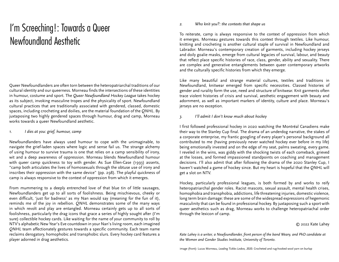# I'm Screeching!: Towards a Queer Newfoundland Aesthetic

Queer Newfoundlanders are often torn between the heteropatriarchal traditions of our cultural identity and our queerness. Morneau finds the intersections of these identities in humour, costume and sport. The *Queer Newfoundland Hockey League* takes hockey as its subject, invoking masculine tropes and the physicality of sport. Newfoundland cultural practices that are traditionally associated with gendered, classed, domestic spaces, including crocheting and doilies, are the material foundation of the *QNHL*. By juxtaposing two highly gendered spaces through humour, drag and camp, Morneau works towards a queer Newfoundland aesthetic.

### *1. I dies at you: grief, humour, camp*

Newfoundlanders have always used humour to cope with the unimaginable, to navigate the grief-laden spaces where logic and sense fail us. The strange alchemy of using humour to survive trauma is one that relies on a camp sensibility of irony, wit and a deep awareness of oppression. Morneau blends Newfoundland humour with queer camp quickness to toy with gender. As Sue Ellen-Case (1993) asserts, "camp both articulates the lives of homosexuals through the obtuse use of irony and inscribes their oppression with the same device" (pp. 298). The playful quickness of camp is always responsive to the context of oppression from which it emerges.

From mummering to a deeply entrenched love of that blue tin of little sausages, Newfoundlanders get up to all sorts of foolishness. Being mischievous, cheeky or even difficult, 'just for badness' as my Nan would say (meaning for the fun of it), reminds me of the joy in rebellion. *QNHL* demonstrates some of the many ways in which revolt and play are entangled. Morneau certainly gets up to all sorts of foolishness, particularly the drag icons that grace a series of highly sought after (I'm sure) collectible hockey cards. Like waiting for the name of your community to roll by NTV's alphabetic New Year's Eve countdown in your Nan's living room, each imagined *QNHL* team affectionately gestures towards a specific community. Each team name reclaims derogatory, homophobic and transphobic slurs. Every hockey card features a player adorned in drag aesthetics.

### *2. Who knit you?: the contexts that shape us*

To reiterate, camp is always responsive to the context of oppression from which it emerges. Morneau gestures towards this context through textiles. Like humour, knitting and crocheting is another cultural staple of survival in Newfoundland and Labrador. Morneau's contemporary creation of garments, including hockey jerseys and doily goalie masks, emerge from cultural legacies of survival, labour, and beauty that reflect place specific histories of race, class, gender, ability and sexuality. There are complex and generative entanglements between queer contemporary artworks and the culturally specific histories from which they emerge.

Like many beautiful and strange material cultures, textiles and traditions in Newfoundland, knitwear emerged from specific necessities. Classed histories of gender and rurality form the use, need and structure of knitwear. Knit garments often trace violent histories of crisis and survival, aesthetic engagement with beauty and adornment, as well as important markers of identity, culture and place. Morneau's jerseys are no exception.

## *3. I'll admit I don't know much about hockey*

I first followed professional hockey in 2020 watching the Montréal Canadiens make their way to the Stanley Cup final. The drama of an underdog narrative, the stakes of a corporate enterprise, my frantic googling of every player's personal background all contributed to me (having previously never watched hockey ever before in my life) being emotionally invested and on the edge of my seat, palms sweating, every game. I reveled in the wins, was giddy with the shocking twists of each comeback, grieved at the losses, and formed impassioned standpoints on coaching and management decisions. I'll also admit that after following the drama of the 2020 Stanley Cup, I haven't watched a game of hockey since. But my heart is hopeful that the *QNHL* will get a slot on NTV.

Hockey, particularly professional leagues, is both formed by and works to reify heteropatriarchal gender roles. Racist mascots, sexual assault, mental health crises, homophobia and transphobia, addictions, life threatening injuries, domestic violence, long term brain damage: these are some of the widespread expressions of hegemonic masculinity that can be found in professional hockey. By juxtaposing such a sport with queer aesthetics such as drag, Morneau works to challenge heteropatriachal order through the lexicon of camp.

#### © 2022 Kate Lahey

*Kate Lahey is a writer, a Newfoundlander, front person of the band Weary, and PhD candidate at the Women and Gender Studies Institute, University of Toronto.*